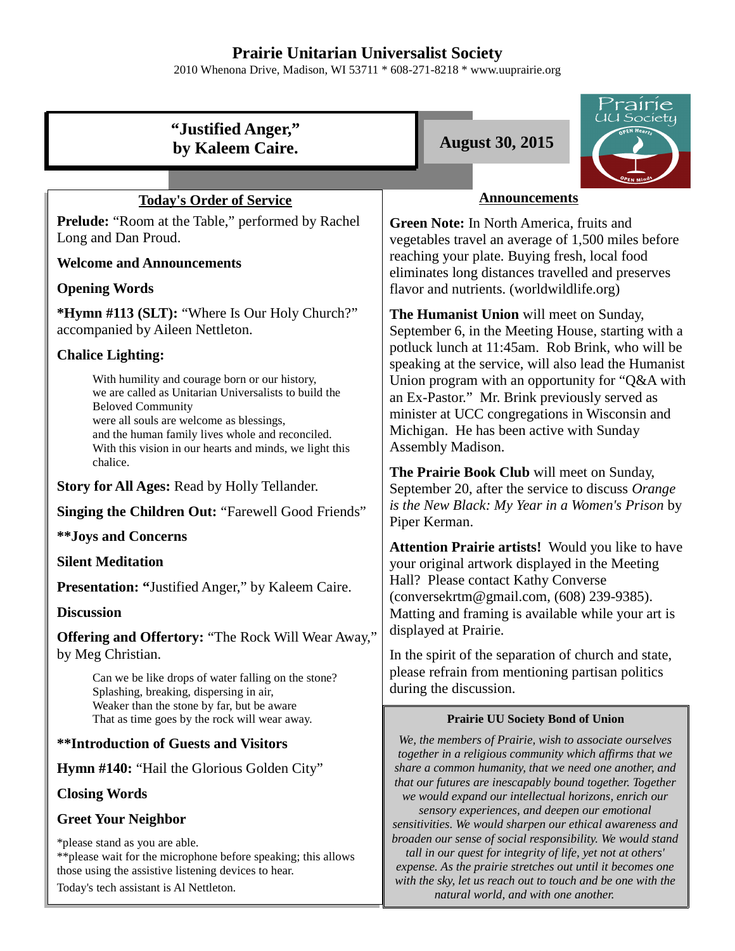# **Prairie Unitarian Universalist Society**

2010 Whenona Drive, Madison, WI 53711 \* 608-271-8218 \* www.uuprairie.org

| "Justified Anger,"<br>by Kaleem Caire.                                                                                                                                                                                                                                                                     | <i>'rairie</i><br>UU Society<br><b>August 30, 2015</b>                                                                                                                                                                                                                                                                                                                                                                                                                                                                                                                                                      |  |  |  |
|------------------------------------------------------------------------------------------------------------------------------------------------------------------------------------------------------------------------------------------------------------------------------------------------------------|-------------------------------------------------------------------------------------------------------------------------------------------------------------------------------------------------------------------------------------------------------------------------------------------------------------------------------------------------------------------------------------------------------------------------------------------------------------------------------------------------------------------------------------------------------------------------------------------------------------|--|--|--|
|                                                                                                                                                                                                                                                                                                            |                                                                                                                                                                                                                                                                                                                                                                                                                                                                                                                                                                                                             |  |  |  |
| <b>Today's Order of Service</b>                                                                                                                                                                                                                                                                            | <b>Announcements</b>                                                                                                                                                                                                                                                                                                                                                                                                                                                                                                                                                                                        |  |  |  |
| <b>Prelude:</b> "Room at the Table," performed by Rachel<br>Long and Dan Proud.                                                                                                                                                                                                                            | Green Note: In North America, fruits and<br>vegetables travel an average of 1,500 miles before<br>reaching your plate. Buying fresh, local food<br>eliminates long distances travelled and preserves<br>flavor and nutrients. (worldwildlife.org)                                                                                                                                                                                                                                                                                                                                                           |  |  |  |
| <b>Welcome and Announcements</b>                                                                                                                                                                                                                                                                           |                                                                                                                                                                                                                                                                                                                                                                                                                                                                                                                                                                                                             |  |  |  |
| <b>Opening Words</b>                                                                                                                                                                                                                                                                                       |                                                                                                                                                                                                                                                                                                                                                                                                                                                                                                                                                                                                             |  |  |  |
| *Hymn #113 (SLT): "Where Is Our Holy Church?"<br>accompanied by Aileen Nettleton.                                                                                                                                                                                                                          | The Humanist Union will meet on Sunday,<br>September 6, in the Meeting House, starting with a<br>potluck lunch at 11:45am. Rob Brink, who will be<br>speaking at the service, will also lead the Humanist<br>Union program with an opportunity for "Q&A with<br>an Ex-Pastor." Mr. Brink previously served as<br>minister at UCC congregations in Wisconsin and<br>Michigan. He has been active with Sunday<br>Assembly Madison.<br>The Prairie Book Club will meet on Sunday,<br>September 20, after the service to discuss Orange                                                                         |  |  |  |
| <b>Chalice Lighting:</b>                                                                                                                                                                                                                                                                                   |                                                                                                                                                                                                                                                                                                                                                                                                                                                                                                                                                                                                             |  |  |  |
| With humility and courage born or our history,<br>we are called as Unitarian Universalists to build the<br><b>Beloved Community</b><br>were all souls are welcome as blessings,<br>and the human family lives whole and reconciled.<br>With this vision in our hearts and minds, we light this<br>chalice. |                                                                                                                                                                                                                                                                                                                                                                                                                                                                                                                                                                                                             |  |  |  |
| Story for All Ages: Read by Holly Tellander.                                                                                                                                                                                                                                                               |                                                                                                                                                                                                                                                                                                                                                                                                                                                                                                                                                                                                             |  |  |  |
| <b>Singing the Children Out: "Farewell Good Friends"</b>                                                                                                                                                                                                                                                   | is the New Black: My Year in a Women's Prison by<br>Piper Kerman.                                                                                                                                                                                                                                                                                                                                                                                                                                                                                                                                           |  |  |  |
| <b>**Joys and Concerns</b>                                                                                                                                                                                                                                                                                 | Attention Prairie artists! Would you like to have<br>your original artwork displayed in the Meeting                                                                                                                                                                                                                                                                                                                                                                                                                                                                                                         |  |  |  |
| <b>Silent Meditation</b>                                                                                                                                                                                                                                                                                   |                                                                                                                                                                                                                                                                                                                                                                                                                                                                                                                                                                                                             |  |  |  |
| Presentation: "Justified Anger," by Kaleem Caire.                                                                                                                                                                                                                                                          | Hall? Please contact Kathy Converse<br>(conversekrtm@gmail.com, (608) 239-9385).                                                                                                                                                                                                                                                                                                                                                                                                                                                                                                                            |  |  |  |
| <b>Discussion</b>                                                                                                                                                                                                                                                                                          | Matting and framing is available while your art is                                                                                                                                                                                                                                                                                                                                                                                                                                                                                                                                                          |  |  |  |
| Offering and Offertory: "The Rock Will Wear Away,"<br>by Meg Christian.                                                                                                                                                                                                                                    | displayed at Prairie.<br>In the spirit of the separation of church and state,<br>please refrain from mentioning partisan politics<br>during the discussion.<br><b>Prairie UU Society Bond of Union</b>                                                                                                                                                                                                                                                                                                                                                                                                      |  |  |  |
| Can we be like drops of water falling on the stone?<br>Splashing, breaking, dispersing in air,<br>Weaker than the stone by far, but be aware<br>That as time goes by the rock will wear away.                                                                                                              |                                                                                                                                                                                                                                                                                                                                                                                                                                                                                                                                                                                                             |  |  |  |
| <b>**Introduction of Guests and Visitors</b>                                                                                                                                                                                                                                                               | We, the members of Prairie, wish to associate ourselves<br>together in a religious community which affirms that we<br>share a common humanity, that we need one another, and<br>that our futures are inescapably bound together. Together<br>we would expand our intellectual horizons, enrich our<br>sensory experiences, and deepen our emotional<br>sensitivities. We would sharpen our ethical awareness and<br>broaden our sense of social responsibility. We would stand<br>tall in our quest for integrity of life, yet not at others'<br>expense. As the prairie stretches out until it becomes one |  |  |  |
| <b>Hymn #140: "Hail the Glorious Golden City"</b>                                                                                                                                                                                                                                                          |                                                                                                                                                                                                                                                                                                                                                                                                                                                                                                                                                                                                             |  |  |  |
| <b>Closing Words</b>                                                                                                                                                                                                                                                                                       |                                                                                                                                                                                                                                                                                                                                                                                                                                                                                                                                                                                                             |  |  |  |
| <b>Greet Your Neighbor</b>                                                                                                                                                                                                                                                                                 |                                                                                                                                                                                                                                                                                                                                                                                                                                                                                                                                                                                                             |  |  |  |
| *please stand as you are able.<br>** please wait for the microphone before speaking; this allows<br>those using the assistive listening devices to hear.                                                                                                                                                   |                                                                                                                                                                                                                                                                                                                                                                                                                                                                                                                                                                                                             |  |  |  |

*with the sky, let us reach out to touch and be one with the natural world, and with one another.* 

Today's tech assistant is Al Nettleton.